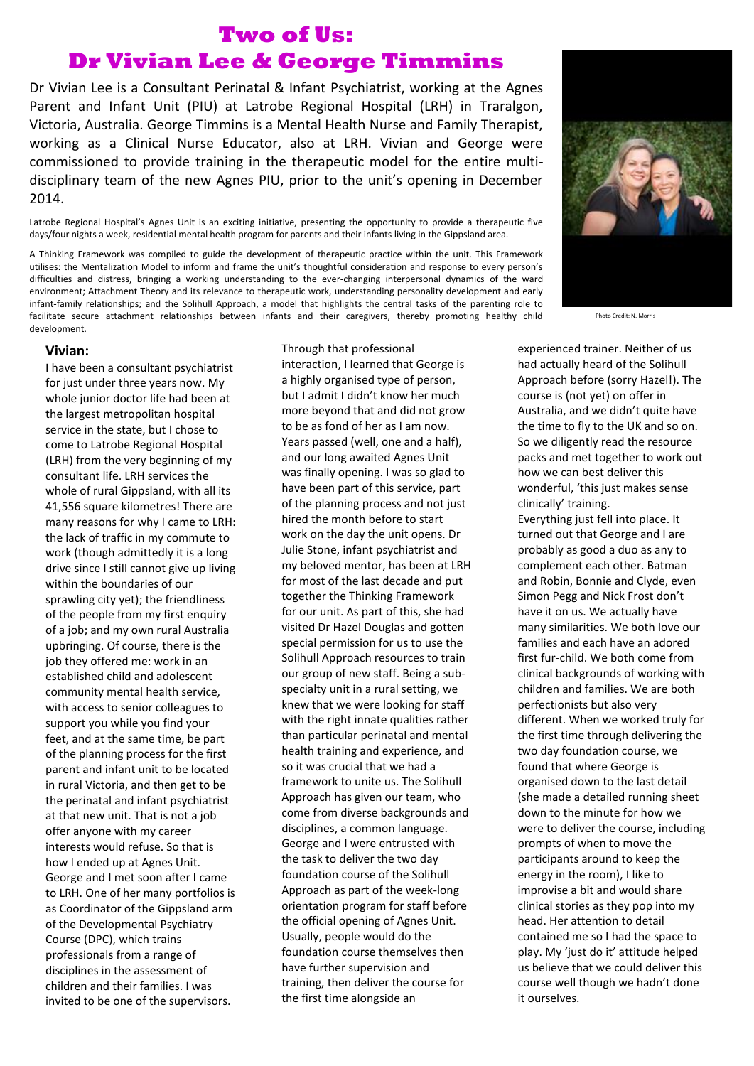## **Two of Us: Dr Vivian Lee & George Timmins**

Dr Vivian Lee is a Consultant Perinatal & Infant Psychiatrist, working at the Agnes Parent and Infant Unit (PIU) at Latrobe Regional Hospital (LRH) in Traralgon, Victoria, Australia. George Timmins is a Mental Health Nurse and Family Therapist, working as a Clinical Nurse Educator, also at LRH. Vivian and George were commissioned to provide training in the therapeutic model for the entire multidisciplinary team of the new Agnes PIU, prior to the unit's opening in December 2014.

Latrobe Regional Hospital's Agnes Unit is an exciting initiative, presenting the opportunity to provide a therapeutic five days/four nights a week, residential mental health program for parents and their infants living in the Gippsland area.

A Thinking Framework was compiled to guide the development of therapeutic practice within the unit. This Framework utilises: the Mentalization Model to inform and frame the unit's thoughtful consideration and response to every person's difficulties and distress, bringing a working understanding to the ever-changing interpersonal dynamics of the ward environment; Attachment Theory and its relevance to therapeutic work, understanding personality development and early infant-family relationships; and the Solihull Approach, a model that highlights the central tasks of the parenting role to facilitate secure attachment relationships between infants and their caregivers, thereby promoting healthy child development.

## **Vivian:**

I have been a consultant psychiatrist for just under three years now. My whole junior doctor life had been at the largest metropolitan hospital service in the state, but I chose to come to Latrobe Regional Hospital (LRH) from the very beginning of my consultant life. LRH services the whole of rural Gippsland, with all its 41,556 square kilometres! There are many reasons for why I came to LRH: the lack of traffic in my commute to work (though admittedly it is a long drive since I still cannot give up living within the boundaries of our sprawling city yet); the friendliness of the people from my first enquiry of a job; and my own rural Australia upbringing. Of course, there is the job they offered me: work in an established child and adolescent community mental health service, with access to senior colleagues to support you while you find your feet, and at the same time, be part of the planning process for the first parent and infant unit to be located in rural Victoria, and then get to be the perinatal and infant psychiatrist at that new unit. That is not a job offer anyone with my career interests would refuse. So that is how I ended up at Agnes Unit. George and I met soon after I came to LRH. One of her many portfolios is as Coordinator of the Gippsland arm of the Developmental Psychiatry Course (DPC), which trains professionals from a range of disciplines in the assessment of children and their families. I was invited to be one of the supervisors.

Through that professional interaction, I learned that George is a highly organised type of person, but I admit I didn't know her much more beyond that and did not grow to be as fond of her as I am now. Years passed (well, one and a half), and our long awaited Agnes Unit was finally opening. I was so glad to have been part of this service, part of the planning process and not just hired the month before to start work on the day the unit opens. Dr Julie Stone, infant psychiatrist and my beloved mentor, has been at LRH for most of the last decade and put together the Thinking Framework for our unit. As part of this, she had visited Dr Hazel Douglas and gotten special permission for us to use the Solihull Approach resources to train our group of new staff. Being a subspecialty unit in a rural setting, we knew that we were looking for staff with the right innate qualities rather than particular perinatal and mental health training and experience, and so it was crucial that we had a framework to unite us. The Solihull Approach has given our team, who come from diverse backgrounds and disciplines, a common language. George and I were entrusted with the task to deliver the two day foundation course of the Solihull Approach as part of the week-long orientation program for staff before the official opening of Agnes Unit. Usually, people would do the foundation course themselves then have further supervision and training, then deliver the course for the first time alongside an



Photo Credit: N. Morris

experienced trainer. Neither of us had actually heard of the Solihull Approach before (sorry Hazel!). The course is (not yet) on offer in Australia, and we didn't quite have the time to fly to the UK and so on. So we diligently read the resource packs and met together to work out how we can best deliver this wonderful, 'this just makes sense clinically' training.

Everything just fell into place. It turned out that George and I are probably as good a duo as any to complement each other. Batman and Robin, Bonnie and Clyde, even Simon Pegg and Nick Frost don't have it on us. We actually have many similarities. We both love our families and each have an adored first fur-child. We both come from clinical backgrounds of working with children and families. We are both perfectionists but also very different. When we worked truly for the first time through delivering the two day foundation course, we found that where George is organised down to the last detail (she made a detailed running sheet down to the minute for how we were to deliver the course, including prompts of when to move the participants around to keep the energy in the room), I like to improvise a bit and would share clinical stories as they pop into my head. Her attention to detail contained me so I had the space to play. My 'just do it' attitude helped us believe that we could deliver this course well though we hadn't done it ourselves.